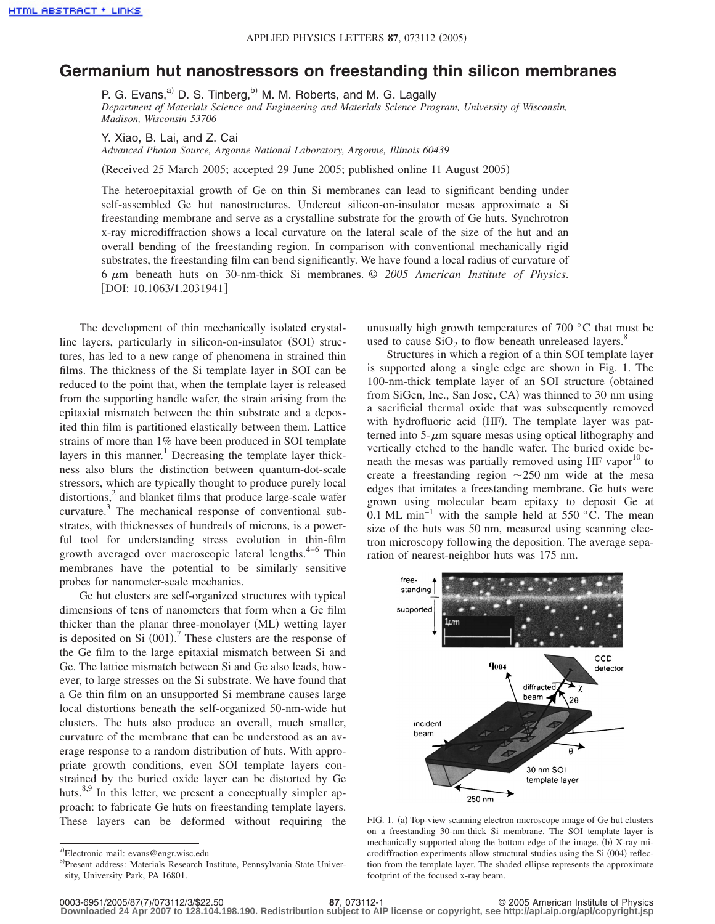## **Germanium hut nanostressors on freestanding thin silicon membranes**

P. G. Evans, $a^{(i)}$  D. S. Tinberg, $b^{(i)}$  M. M. Roberts, and M. G. Lagally *Department of Materials Science and Engineering and Materials Science Program, University of Wisconsin, Madison, Wisconsin 53706*

Y. Xiao, B. Lai, and Z. Cai

*Advanced Photon Source, Argonne National Laboratory, Argonne, Illinois 60439*

Received 25 March 2005; accepted 29 June 2005; published online 11 August 2005-

The heteroepitaxial growth of Ge on thin Si membranes can lead to significant bending under self-assembled Ge hut nanostructures. Undercut silicon-on-insulator mesas approximate a Si freestanding membrane and serve as a crystalline substrate for the growth of Ge huts. Synchrotron x-ray microdiffraction shows a local curvature on the lateral scale of the size of the hut and an overall bending of the freestanding region. In comparison with conventional mechanically rigid substrates, the freestanding film can bend significantly. We have found a local radius of curvature of 6 m beneath huts on 30-nm-thick Si membranes. © *2005 American Institute of Physics*. [DOI: 10.1063/1.2031941]

The development of thin mechanically isolated crystalline layers, particularly in silicon-on-insulator (SOI) structures, has led to a new range of phenomena in strained thin films. The thickness of the Si template layer in SOI can be reduced to the point that, when the template layer is released from the supporting handle wafer, the strain arising from the epitaxial mismatch between the thin substrate and a deposited thin film is partitioned elastically between them. Lattice strains of more than 1% have been produced in SOI template layers in this manner.<sup>1</sup> Decreasing the template layer thickness also blurs the distinction between quantum-dot-scale stressors, which are typically thought to produce purely local distortions,<sup>2</sup> and blanket films that produce large-scale wafer curvature. $3$  The mechanical response of conventional substrates, with thicknesses of hundreds of microns, is a powerful tool for understanding stress evolution in thin-film growth averaged over macroscopic lateral lengths. $4-6$  Thin membranes have the potential to be similarly sensitive probes for nanometer-scale mechanics.

Ge hut clusters are self-organized structures with typical dimensions of tens of nanometers that form when a Ge film thicker than the planar three-monolayer (ML) wetting layer is deposited on Si  $(001)$ .<sup>7</sup> These clusters are the response of the Ge film to the large epitaxial mismatch between Si and Ge. The lattice mismatch between Si and Ge also leads, however, to large stresses on the Si substrate. We have found that a Ge thin film on an unsupported Si membrane causes large local distortions beneath the self-organized 50-nm-wide hut clusters. The huts also produce an overall, much smaller, curvature of the membrane that can be understood as an average response to a random distribution of huts. With appropriate growth conditions, even SOI template layers constrained by the buried oxide layer can be distorted by Ge huts. $8,9$  In this letter, we present a conceptually simpler approach: to fabricate Ge huts on freestanding template layers. These layers can be deformed without requiring the

unusually high growth temperatures of  $700\degree C$  that must be used to cause  $SiO<sub>2</sub>$  to flow beneath unreleased layers.<sup>8</sup>

Structures in which a region of a thin SOI template layer is supported along a single edge are shown in Fig. 1. The 100-nm-thick template layer of an SOI structure (obtained from SiGen, Inc., San Jose, CA) was thinned to 30 nm using a sacrificial thermal oxide that was subsequently removed with hydrofluoric acid (HF). The template layer was patterned into  $5-\mu m$  square mesas using optical lithography and vertically etched to the handle wafer. The buried oxide beneath the mesas was partially removed using HF vapor<sup>10</sup> to create a freestanding region  $\sim$  250 nm wide at the mesa edges that imitates a freestanding membrane. Ge huts were grown using molecular beam epitaxy to deposit Ge at 0.1 ML min−1 with the sample held at 550 °C. The mean size of the huts was 50 nm, measured using scanning electron microscopy following the deposition. The average separation of nearest-neighbor huts was 175 nm.



FIG. 1. (a) Top-view scanning electron microscope image of Ge hut clusters on a freestanding 30-nm-thick Si membrane. The SOI template layer is mechanically supported along the bottom edge of the image. (b) X-ray microdiffraction experiments allow structural studies using the Si (004) reflection from the template layer. The shaded ellipse represents the approximate footprint of the focused x-ray beam.

**Downloaded 24 Apr 2007 to 128.104.198.190. Redistribution subject to AIP license or copyright, see http://apl.aip.org/apl/copyright.jsp**

a)Electronic mail: evans@engr.wisc.edu

b)Present address: Materials Research Institute, Pennsylvania State University, University Park, PA 16801.

<sup>87, 073112-1</sup> **87, 073112-1** © 2005 American Institute of Physics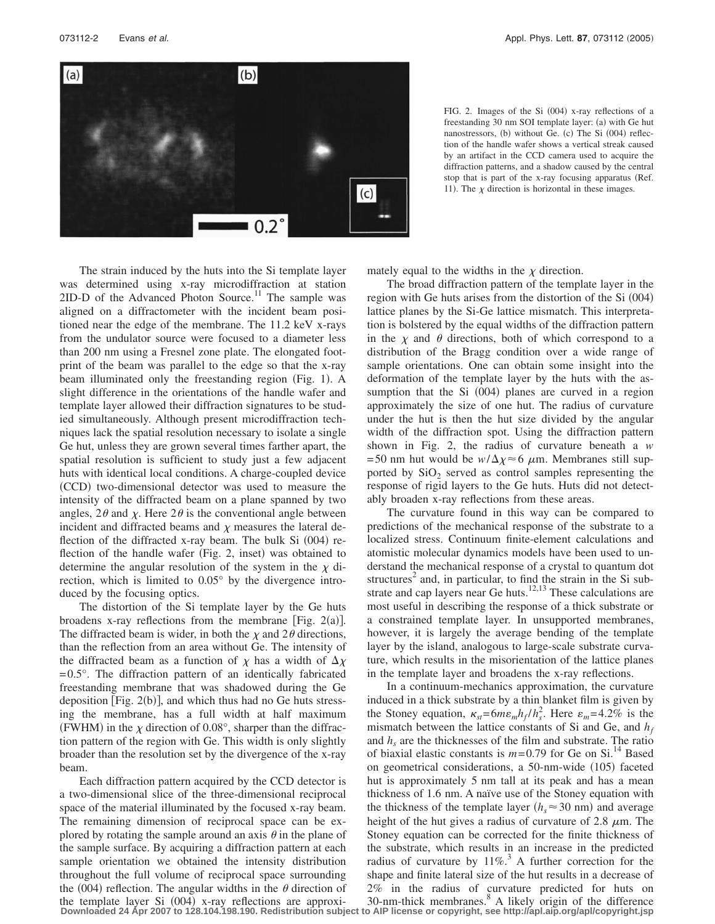

FIG. 2. Images of the Si (004) x-ray reflections of a freestanding 30 nm SOI template layer: (a) with Ge hut nanostressors, (b) without Ge. (c) The Si (004) reflection of the handle wafer shows a vertical streak caused by an artifact in the CCD camera used to acquire the diffraction patterns, and a shadow caused by the central stop that is part of the x-ray focusing apparatus (Ref. 11). The  $\chi$  direction is horizontal in these images.

The strain induced by the huts into the Si template layer was determined using x-ray microdiffraction at station  $2ID-D$  of the Advanced Photon Source.<sup>11</sup> The sample was aligned on a diffractometer with the incident beam positioned near the edge of the membrane. The 11.2 keV x-rays from the undulator source were focused to a diameter less than 200 nm using a Fresnel zone plate. The elongated footprint of the beam was parallel to the edge so that the x-ray beam illuminated only the freestanding region (Fig. 1). A slight difference in the orientations of the handle wafer and template layer allowed their diffraction signatures to be studied simultaneously. Although present microdiffraction techniques lack the spatial resolution necessary to isolate a single Ge hut, unless they are grown several times farther apart, the spatial resolution is sufficient to study just a few adjacent huts with identical local conditions. A charge-coupled device (CCD) two-dimensional detector was used to measure the intensity of the diffracted beam on a plane spanned by two angles,  $2\theta$  and  $\chi$ . Here  $2\theta$  is the conventional angle between incident and diffracted beams and  $\chi$  measures the lateral deflection of the diffracted x-ray beam. The bulk Si (004) reflection of the handle wafer (Fig. 2, inset) was obtained to determine the angular resolution of the system in the  $\chi$  direction, which is limited to 0.05° by the divergence introduced by the focusing optics.

The distortion of the Si template layer by the Ge huts broadens x-ray reflections from the membrane [Fig.  $2(a)$ ]. The diffracted beam is wider, in both the  $\chi$  and 2 $\theta$  directions, than the reflection from an area without Ge. The intensity of the diffracted beam as a function of  $\chi$  has a width of  $\Delta \chi$  $= 0.5^{\circ}$ . The diffraction pattern of an identically fabricated freestanding membrane that was shadowed during the Ge deposition [Fig.  $2(b)$ ], and which thus had no Ge huts stressing the membrane, has a full width at half maximum (FWHM) in the  $\chi$  direction of 0.08°, sharper than the diffraction pattern of the region with Ge. This width is only slightly broader than the resolution set by the divergence of the x-ray beam.

Each diffraction pattern acquired by the CCD detector is a two-dimensional slice of the three-dimensional reciprocal space of the material illuminated by the focused x-ray beam. The remaining dimension of reciprocal space can be explored by rotating the sample around an axis  $\theta$  in the plane of the sample surface. By acquiring a diffraction pattern at each sample orientation we obtained the intensity distribution throughout the full volume of reciprocal space surrounding the (004) reflection. The angular widths in the  $\theta$  direction of

mately equal to the widths in the  $\chi$  direction.

The broad diffraction pattern of the template layer in the region with Ge huts arises from the distortion of the Si (004) lattice planes by the Si-Ge lattice mismatch. This interpretation is bolstered by the equal widths of the diffraction pattern in the  $\chi$  and  $\theta$  directions, both of which correspond to a distribution of the Bragg condition over a wide range of sample orientations. One can obtain some insight into the deformation of the template layer by the huts with the assumption that the Si (004) planes are curved in a region approximately the size of one hut. The radius of curvature under the hut is then the hut size divided by the angular width of the diffraction spot. Using the diffraction pattern shown in Fig. 2, the radius of curvature beneath a *w* = 50 nm hut would be  $w/\Delta\chi \approx 6 \mu$ m. Membranes still supported by  $SiO<sub>2</sub>$  served as control samples representing the response of rigid layers to the Ge huts. Huts did not detectably broaden x-ray reflections from these areas.

The curvature found in this way can be compared to predictions of the mechanical response of the substrate to a localized stress. Continuum finite-element calculations and atomistic molecular dynamics models have been used to understand the mechanical response of a crystal to quantum dot structures<sup>2</sup> and, in particular, to find the strain in the Si substrate and cap layers near Ge huts.<sup>12,13</sup> These calculations are most useful in describing the response of a thick substrate or a constrained template layer. In unsupported membranes, however, it is largely the average bending of the template layer by the island, analogous to large-scale substrate curvature, which results in the misorientation of the lattice planes in the template layer and broadens the x-ray reflections.

the template layer Si (004) x-ray reflections are approxi-<br>Downloaded 24 Apr 2007 to 128.104.198.190. Redistribution subject to AIP license or copyright, see http://apl.aip.org/apl/copyright.jsp In a continuum-mechanics approximation, the curvature induced in a thick substrate by a thin blanket film is given by the Stoney equation,  $\kappa_{st} = 6m\epsilon_m h_f / h_s^2$ . Here  $\epsilon_m = 4.2\%$  is the mismatch between the lattice constants of Si and Ge, and  $h_f$ and  $h<sub>s</sub>$  are the thicknesses of the film and substrate. The ratio of biaxial elastic constants is  $m=0.79$  for Ge on Si.<sup>14</sup> Based on geometrical considerations, a 50-nm-wide (105) faceted hut is approximately 5 nm tall at its peak and has a mean thickness of 1.6 nm. A naïve use of the Stoney equation with the thickness of the template layer  $(h_s \approx 30 \text{ nm})$  and average height of the hut gives a radius of curvature of 2.8  $\mu$ m. The Stoney equation can be corrected for the finite thickness of the substrate, which results in an increase in the predicted radius of curvature by  $11\%$ .<sup>3</sup> A further correction for the shape and finite lateral size of the hut results in a decrease of 2% in the radius of curvature predicted for huts on